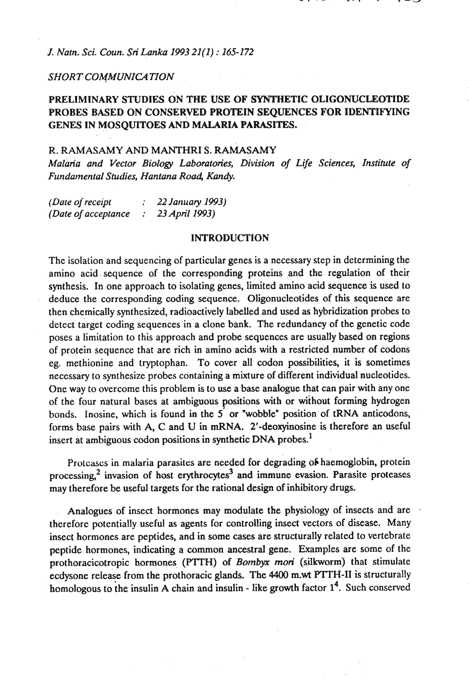### **SHORT COMMUNICATION**

# **PRELIMINARY STUDIES ON THE USE OF SYNTHETIC OLIGONUCLEOTIDE PROBES BASED ON CONSERVED PROTEIN SEQUENCES FOR IDENTIFYING GENES IN MOSQUITOES AND MALARIA PARASITES.**

## R. RAMASAMY AND MANTHRI S. RAMASAMY

*Malaria and Vector Biology Laboratories, Division of Life Sciences, Institute of Fundamental Studies, Hantana Road, Kandy.* 

| (Date of receipt    | 22 January 1993) |
|---------------------|------------------|
| (Date of acceptance | 23 April 1993)   |

## **INTRODUCTION**

The isolation and sequencing of particular genes is a necessary step in determining the amino acid sequence of the corresponding proteins and the regulation of their synthesis. In one approach to isolating genes, limited amino acid sequence is used to deduce the corresponding coding sequence. Oligonucleotides of this sequence are then chemically synthesized, radioactively labelled and used as hybridization probes to detect target coding sequences in a clone bank. The redundancy of the genetic code poses a limitation to this approach and probe sequences are usually based on regions of protein sequence that are rich in amino acids with a restricted number of codons eg. methionine and tryptophan. To cover all codon possibilities, it is sometimes necessary to synthesize probes containing a mixture of different individual nucleotides. One way to overcome this problem is to use a base analogue that can pair with any one of the four natural bases at ambiguous positions with or without forming hydrogen bonds. Inosine, which is found in the  $5$  or "wobble" position of tRNA anticodons, forms base pairs with A, C and U in **mRNA.** 2'-deoxyinosine is therefore an useful insert at ambiguous codon positions in synthetic DNA probes.<sup>1</sup>

Protcases in malaria parasites are needed for degrading of haemoglobin, protein processing, $2$  invasion of host erythrocytes $3$  and immune evasion. Parasite proteases may therefore be useful targets for the rational design of inhibitory drugs.

Analogues of insect hormones may modulate the physiology of insects and are . therefore potentially useful as agents for controlling insect vectors of disease. Many insect hormones are peptides, and in some cases are structurally related to vertebrate peptide hormones, indicating a common ancestral gene. Examples are some of the prothoracicotropic hormones (PTTH) of *Bombyx mori* (silkworm) that stimulate ecdysone release from the prothoracic glands. The **4400** m.wt PTTH-I1 is structurally homologous to the insulin A chain and insulin - like growth factor  $1<sup>4</sup>$ . Such conserved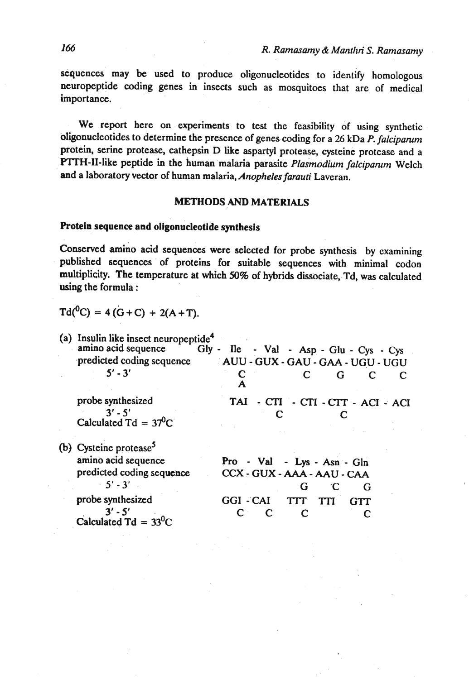sequences may be used to produce oligonucleotides to identify homologous neuropeptide coding genes in insects such as mosquitoes that are of medical importance.

**We** report here on experiments to test the feasibility of using synthetic oligonucleotides to determine the presence of genes coding for a 26 kDa P. *falcipamm*  protein, serine protease, cathepsin D like aspartyl protease, cysteine protease and a P1TH-11-like peptide in the human malaria parasite *Plusmodillm falcipamm* Welch and a laboratory vector of human malaria, *Anopheles farauti* Laveran.

## **METHODS AND MATERIALS**

## **Protein sequence and oligonucleotide synthesis**

Conserved amino acid sequences were selected for probe synthesis by examining published sequences of proteins for suitable sequences with minimal codon multiplicity. The temperature at which 50% of hybrids dissociate, Td, was calculated using the formula :

$$
Td(^{0}C) = 4(G + C) + 2(A + T).
$$

| (a) Insulin like insect neuropeptide <sup>4</sup>                                                   | Gly - Ile - Val - Asp - Glu - Cys - Cys                                   |
|-----------------------------------------------------------------------------------------------------|---------------------------------------------------------------------------|
| amino acid sequence                                                                                 | AUU - GUX - GAU - GAA - UGU - UGU                                         |
| predicted coding sequence                                                                           | G                                                                         |
| $5' - 3'$                                                                                           | Α                                                                         |
| probe synthesized<br>$3' - 5'$<br>Calculated Td = $37^0C$                                           | TAI<br>- CTI - CTI - CTT - ACI - ACI                                      |
| (b) Cysteine protease <sup>5</sup><br>amino acid sequence<br>predicted coding sequence<br>$5' - 3'$ | Pro - Val - Lys - Asn - Gln<br>CCX - GUX - AAA - AAU - CAA<br>G<br>Ć<br>G |
| probe synthesized                                                                                   | GGI-CAI                                                                   |
| $3' - 5'$                                                                                           | <b>TTT</b>                                                                |
| $Calculated Td = 33^{0}C$                                                                           | GTT                                                                       |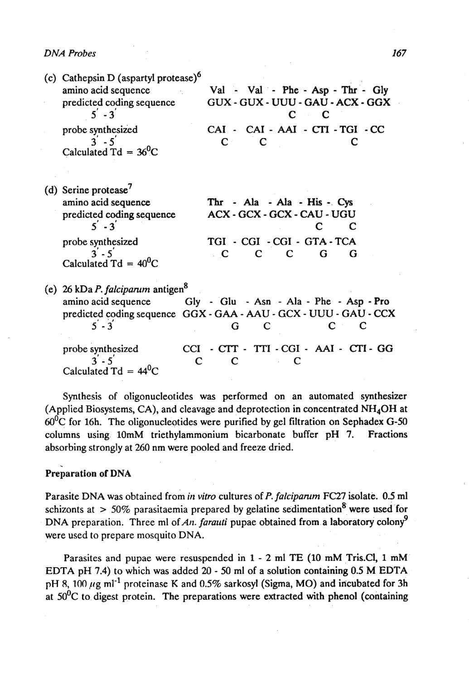(c) Cathepsin D (aspartyl protease)<sup>6</sup><br>amino acid sequence amino acid sequence Val - Val - Phe - Asp - Thr - Gly predicted coding sequence GUX - GUX - UUU - GAU - ACX - GGX predicted coding sequence GUX - GUX - UUU - GAU - ACX - GGX<br>5' - 3'  $5'$  - 3' C C probe synthesized CAI - CAI - AAI - CTI - TGI - CC<br>  $3 \div 5$  C  $3'$  -  $5'$  C C C C C Calculated Td =  $36^{\circ}$ C (d) Serine protease **<sup>7</sup>** amino acid sequence<br> **The** - Ala - Ala - His - Cys<br>
predicted coding sequence<br> **ACX** - GCX - GCX - CAU - UGU ed coding sequence ACX - GCX - GCX - CAU - UGU<br>5 - 3 **5'** - 3' C C probe synthesized TGI - CGI - CGI - GTA - TCA  $3' - 5'$  $\mathbf C$  $\mathbf C$ C G G Calculated Td =  $40^0C$ (e) 26 kDa *P. falciparum* antigen<sup>8</sup><br>amino acid sequence Gly - Glu - Asn - Ala - Phe - Asp - Pro predicted coding sequence  $GGX - GAA - AAU - GCX - UUU - GAU - CCX$ <br>5 - 3  $5 \cdot 3$  G C C C C probe synthesized CCI -  $\text{CTT}$  -  $\text{TTI}$  - CGI - AAI - CTI - GG<br>  $3\overline{\hspace{-.15cm}1}$  -  $5\overline{\hspace{-.15cm}1}$  C C C  $3'$  - 5' C C C C C Calculated Td =  $44^{\circ}$ C

Synthesis of oligonucleotides was performed on an automated synthesizer (Applied Biosystems, CA), and cleavage and deprotection in concentrated **NHIOH** at  $60^{\circ}$ C for 16h. The oligonucleotides were purified by gel filtration on Sephadex G-50 columns using 10mM triethylammonium bicarbonate buffer pH 7. Fractions absorbing strongly at 260 nm were pooled and freeze dried.

## **preparation of DNA**

Parasite DNA was obtained from *in vitro* cultures of P. falciparum FC27 isolate. 0.5 ml schizonts at  $> 50\%$  parasitaemia prepared by gelatine sedimentation<sup>8</sup> were used for DNA preparation. Three ml of An. farauti pupae obtained from a laboratory colony<sup>9</sup> were used to prepare mosquito DNA.

Parasites and pupae were resuspended in 1 - 2 ml **TE** (10 mM Tris.Cl, 1 mM EDTA pH 7.4) to which was added 20 - 50 ml of a solution containing 0.5 M EDTA pH 8, 100  $\mu$ g ml<sup>-1</sup> proteinase K and 0.5% sarkosyl (Sigma, MO) and incubated for 3h at  $50^{\circ}$ C to digest protein. The preparations were extracted with phenol (containing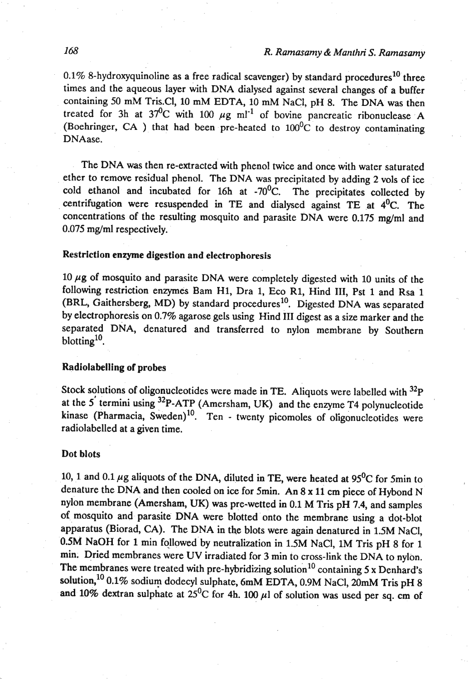$0.1\%$  8-hydroxyquinoline as a free radical scavenger) by standard procedures<sup>10</sup> three times and the aqueous layer with DNA dialysed against several changes of a buffer containing 50 mM Tris.Cl, 10 mM EDTA, 10 **mM** NaCl, pH 8. The DNA was then treated for 3h at  $37^0$ C with 100  $\mu$ g ml<sup>-1</sup> of bovine pancreatic ribonuclease A (Boehringer, CA) that had been pre-heated to  $100^{\circ}$ C to destroy contaminating DNAase.

The DNA was then re-extracted with phenol twice and once with water saturated ether to remove residual phenol. The DNA was precipitated by adding 2 vols of ice cold ethanol and incubated for 16h at  $-70^{\circ}$ C. The precipitates collected by centrifugation were resuspended in TE and dialysed against TE at  $4^{0}C$ . The concentrations of the resulting mosquito and parasite DNA were 0.175 mg/ml and 0.075 mg/ml respectively.

## Restriction enzyme digestion **and** electrophoresis

10  $\mu$ g of mosquito and parasite DNA were completely digested with 10 units of the following restriction enzymes Bam **HI,** Dra 1, Eco R1, Hind 111, Pst 1 and Rsa 1 **(BRL,** Gaithersberg, MD) by standard procedures'0. Digested DNA was separated by electrophoresis on 0.7% agarose gels using Hind I11 digest as a size marker and the separated DNA, denatured and transferred to nylon membrane by Southern blotting $10$ .

## Radiolabelling of probes

Stock solutions of oligonucleotides were made in TE. Aliquots were labelled with  $^{32}P$ at the  $5'$  termini using  $32P-ATP$  (Amersham, UK) and the enzyme T4 polynucleotide kinase (Pharmacia, Sweden)<sup>10</sup>. Ten - twenty picomoles of oligonucleotides were radiolabelled at a given time.

#### Dot blots

10, 1 and 0.1  $\mu$ g aliquots of the DNA, diluted in TE, were heated at 95<sup>0</sup>C for 5min to denature the DNA and then cooled on ice for 5min. An 8 **x** 11 cm piece of Hybond N nylon membrane (Amersham, UK) was pre-wetted in 0.1 M Tris pH 7.4, and samples of mosquito and parasite DNA were blotted onto the membrane using a dot-blot apparatus (Biorad, CA). The DNA in the blots were again denatured in 1.5M NaCI, 0.5M NaOH for 1 min followed by neutralization in 1.5M NaCI, 1M Tris pH 8 for 1 min. Dried membranes were UV irradiated for 3 min to cross-link the DNA to nylon. The membranes were treated with pre-hybridizing solution<sup>10</sup> containing 5  $\boldsymbol{x}$  Denhard's solution,<sup>10</sup> 0.1% sodium dodecyl sulphate, 6mM EDTA, 0.9M NaCl, 20mM Tris pH 8 and 10% dextran sulphate at  $25^{\circ}$ C for 4h. 100  $\mu$ l of solution was used per sq. cm of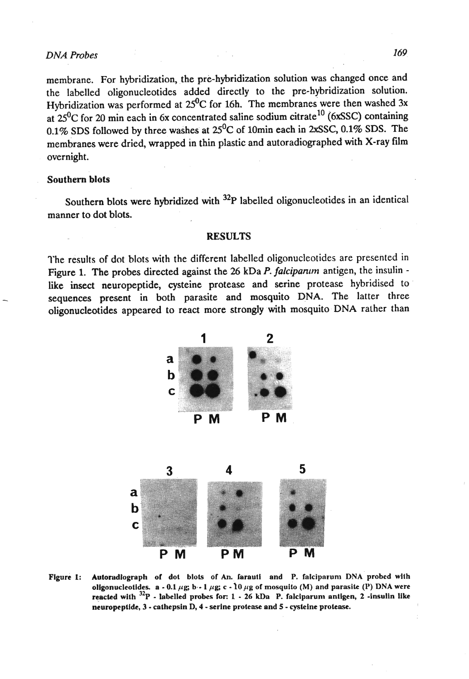# *DNA Probes* **169**

membrane. For hybridization, the pre-hybridization solution was changed once and the labelled oligonucleotides added directly to the pre-hybridization solution. Hybridization was performed at 25<sup>0</sup>C for 16h. The membranes were then washed 3x at 25<sup>0</sup>C for 20 min each in 6x concentrated saline sodium citrate<sup>10</sup> (6xSSC) containing 0.1% SDS followed by three washes at  $25^0C$  of 10min each in 2xSSC, 0.1% SDS. The membranes were dried, wrapped in **thin** plastic and autoradiographed with X-ray film overnight.

## Southern blots

Southern blots were hybridized with <sup>32</sup>P labelled oligonucleotides in an identical manner to dot blots.

#### **RESULTS**

The results of dot blots with the different labelled oligonucleotides are presented in Figure 1. The probes directed against the 26 kDa P. *falcipanim* antigen, the insulin like insect neuropeptide, cysteine protease and serine protease hybridised to sequences present in both parasite and mosquito DNA. The latter three oligonucleotides appeared to react more strongly with mosquito DNA rather than





Figure 1: Autoradiograph of dot blots of An. farauti and P. falciparum DNA probed with **oligonucleotides. a - 0.1**  $\mu$ g; **b**  $\cdot$  **1**  $\mu$ g; **c**  $\cdot$  **10**  $\mu$ g of mosquito (M) and parasite (P) DNA were **reacted wllh 32~** - **labelled probes for: 1** - **26 kDa P. falclpnrun~ antigen, 2 -insulin like neuropeptide, 3** - **calhepsin D, 4** - **serine protense and 5** - **cysleine prolease.**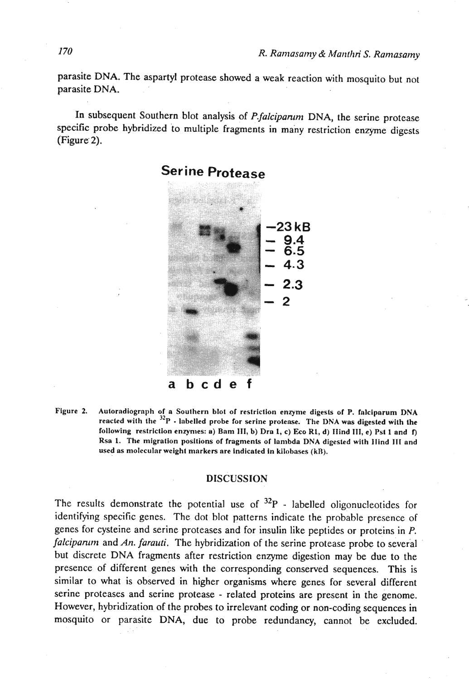parasite DNA. The aspartyl protease showed a weak reaction with mosquito but not parasite DNA.

In subsequent Southern blot analysis of *P.falciparum DNA*, the serine protease specific probe hybridized to multiple fragments in many restriction enzyme digests (Figure 2).



Figure 2. Autoradiograph of a Southern blot of restriction enzyme digests of P. falciparum DNA reacted with the  $32P$  - labelled probe for serine protease. The DNA was digested with the following restriction enzymes: a) Bam III, b) Dra 1, c) Eco R1, d) Hind III, e) Pst 1 and f) Rsa 1. The migration positions of fragments of lambda DNA digested with Ilind 111 and used as moleculnr weight mnrkers are indicated In kilobases **(kR).** 

#### **DISCUSSION**

The results demonstrate the potential use of  $32P$  - labelled oligonucleotides for identifying specific genes. The dot blot patterns indicate the probable presence of genes for cysteine and serine proteases and for insulin like peptides or proteins in P. *falciparum and An. farauti.* The hybridization of the serine protease probe to several but discrete DNA fragments after restriction enzyme digestion may be due to the presence of different genes with the corresponding conserved sequences. This is similar to what is observed in higher organisms where genes for several different serine proteases and serine protease - related proteins are present in the genome. However, hybridization of the probes to irrelevant coding or non-coding sequences in mosquito or parasite DNA, due to probe redundancy, cannot be excluded.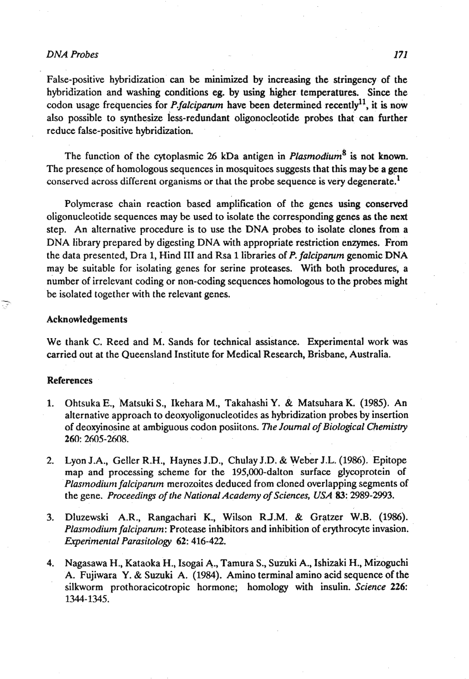# DNA Probes 171

False-positive hybridization can be minimized by increasing the stringency of the hybridization and washing conditions eg. by using higher temperatures. Since the codon usage frequencies for *P.falciparum* have been determined recently<sup>11</sup>, it is now also possible to synthesize less-redundant oligonocleotide probes that can further reduce false-positive hybridization.

The function of the cytoplasmic 26 kDa antigen in  $Plasmodium<sup>8</sup>$  is not known. The presence of homologous sequences in mosquitoes suggests that this may be a gene conserved across different organisms or that the probe sequence is very degenerate.<sup>1</sup>

Polymerase chain reaction based amplification of the genes using conserved oligonucleotide sequences may be used to isolate the corresponding genes **as** the next step. An alternative procedure is to use the DNA probes to isolate clones from a DNA library prepared by digesting DNA with appropriate restriction enzymes. From the data presented, Dra **1,** Hind **I11** and Rsa **1** libraries of P. falcipamm genomic DNA may be suitable for isolating genes for serine proteases. With both procedures, a number of irrelevant coding or non-coding sequences homologous to the probes might be isolated together with the relevant genes.

#### Acknowledgements

We thank C. Reed and M. Sands for technical assistance. Experimental work was carried out at the Queensland Institute for Medical Research, Brisbane, Australia.

### References

**1'-** 

- **1.** Ohtsuka **E.,** Matsuki S., Ikehara M., Takahashi Y. & Matsuhara K. **(1985).** An alternative approach to deoxyoligonucleotides as hybridization probes by insertion of deoxyinosine at ambiguous codon posiitons. The Journal of Biological Chemistry 260: **2605-2608.**
- 2. Lyon J.A., Geller R.H., Haynes J.D., Chulay J.D. & weber J.L. **(1986).** Epitope map and processing scheme for the 195,000-dalton surface glycoprotein of Plasmodium falciparum merozoites deduced from cloned overlapping segments of the gene. Proceedings of the National Academy of Sciences, USA 83: 2989-2993.
- **3.** Dluzewski A.R., Rangachari K., Wilson R.J.M. & Gratzer **W.B. (1986).**  Plasmodium falciparum: Protease inhibitors and inhibition of erythrocyte invasion. Experimental Parasitology 62: 416-422.
- **4.** Nagasawa H., Kataoka H., Isogai A., Tamura S., Suzuki A., Ishizaki H., Mizoguchi A. Fujiwara Y. & Suzuki A. **(1984).** Amino terminal amino acid sequence of the silkworm prothoracicotropic hormone; homology with insulin. Science 226: **1344- 1345.**